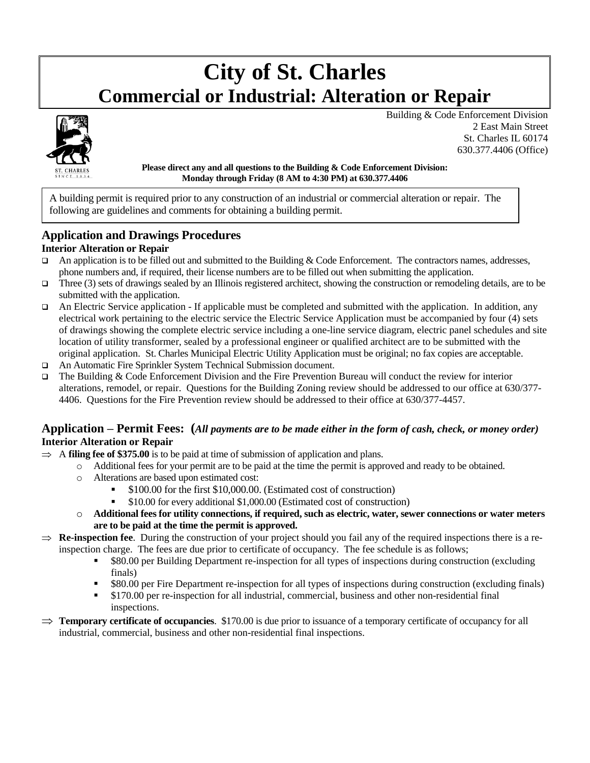# **City of St. Charles Commercial or Industrial: Alteration or Repair**



 Building & Code Enforcement Division 2 East Main Street St. Charles IL 60174 630.377.4406 (Office)

#### **Please direct any and all questions to the Building & Code Enforcement Division: Monday through Friday (8 AM to 4:30 PM) at 630.377.4406**

A building permit is required prior to any construction of an industrial or commercial alteration or repair. The following are guidelines and comments for obtaining a building permit.

# **Application and Drawings Procedures**

#### **Interior Alteration or Repair**

- An application is to be filled out and submitted to the Building & Code Enforcement. The contractors names, addresses, phone numbers and, if required, their license numbers are to be filled out when submitting the application.
- Three (3) sets of drawings sealed by an Illinois registered architect, showing the construction or remodeling details, are to be submitted with the application.
- ❑ An Electric Service application If applicable must be completed and submitted with the application. In addition, any electrical work pertaining to the electric service the Electric Service Application must be accompanied by four (4) sets of drawings showing the complete electric service including a one-line service diagram, electric panel schedules and site location of utility transformer, sealed by a professional engineer or qualified architect are to be submitted with the original application. St. Charles Municipal Electric Utility Application must be original; no fax copies are acceptable.
- ❑ An Automatic Fire Sprinkler System Technical Submission document.
- ❑ The Building & Code Enforcement Division and the Fire Prevention Bureau will conduct the review for interior alterations, remodel, or repair. Questions for the Building Zoning review should be addressed to our office at 630/377- 4406. Questions for the Fire Prevention review should be addressed to their office at 630/377-4457.

### **Application – Permit Fees: (***All payments are to be made either in the form of cash, check, or money order)* **Interior Alteration or Repair**

- $\Rightarrow$  A **filing fee of \$375.00** is to be paid at time of submission of application and plans.
	- o Additional fees for your permit are to be paid at the time the permit is approved and ready to be obtained.
	- o Alterations are based upon estimated cost:
		- \$100.00 for the first \$10,000.00. (Estimated cost of construction)
		- \$10.00 for every additional \$1,000.00 (Estimated cost of construction)
	- o **Additional fees for utility connections, if required, such as electric, water, sewer connections or water meters are to be paid at the time the permit is approved.**
- $\Rightarrow$  **Re-inspection fee**. During the construction of your project should you fail any of the required inspections there is a reinspection charge. The fees are due prior to certificate of occupancy. The fee schedule is as follows;
	- \$80.00 per Building Department re-inspection for all types of inspections during construction (excluding finals)
	- \$80.00 per Fire Department re-inspection for all types of inspections during construction (excluding finals)
	- \$170.00 per re-inspection for all industrial, commercial, business and other non-residential final inspections.
- $\Rightarrow$  **Temporary certificate of occupancies**. \$170.00 is due prior to issuance of a temporary certificate of occupancy for all industrial, commercial, business and other non-residential final inspections.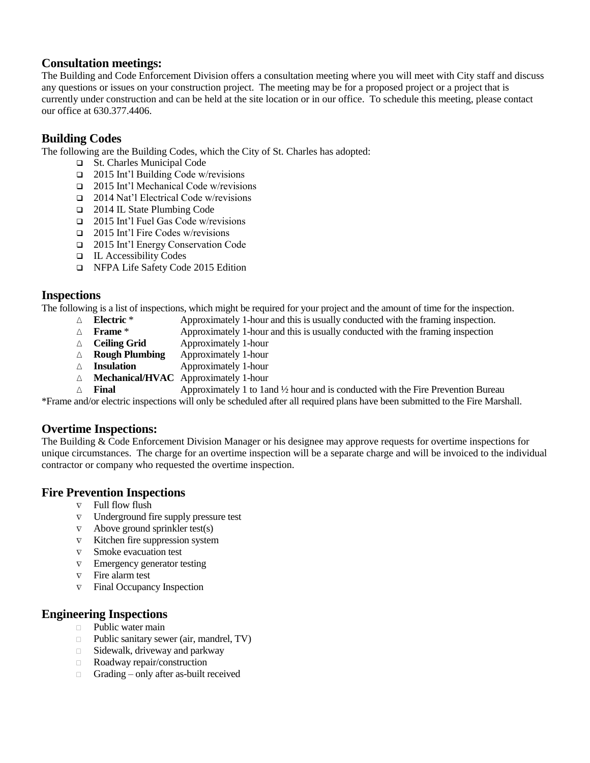### **Consultation meetings:**

The Building and Code Enforcement Division offers a consultation meeting where you will meet with City staff and discuss any questions or issues on your construction project. The meeting may be for a proposed project or a project that is currently under construction and can be held at the site location or in our office. To schedule this meeting, please contact our office at 630.377.4406.

## **Building Codes**

The following are the Building Codes, which the City of St. Charles has adopted:

- ❑ St. Charles Municipal Code
- ❑ 2015 Int'l Building Code w/revisions
- ❑ 2015 Int'l Mechanical Code w/revisions
- ❑ 2014 Nat'l Electrical Code w/revisions
- ❑ 2014 IL State Plumbing Code
- ❑ 2015 Int'l Fuel Gas Code w/revisions
- ❑ 2015 Int'l Fire Codes w/revisions
- ❑ 2015 Int'l Energy Conservation Code
- ❑ IL Accessibility Codes
- ❑ NFPA Life Safety Code 2015 Edition

### **Inspections**

The following is a list of inspections, which might be required for your project and the amount of time for the inspection.

- ∆ **Electric** \* Approximately 1-hour and this is usually conducted with the framing inspection.
- ∆ **Frame** \* Approximately 1-hour and this is usually conducted with the framing inspection
- ∆ **Ceiling Grid** Approximately 1-hour
- ∆ **Rough Plumbing** Approximately 1-hour
- ∆ **Insulation** Approximately 1-hour
- ∆ **Mechanical/HVAC** Approximately 1-hour

∆ **Final** Approximately 1 to 1and ½ hour and is conducted with the Fire Prevention Bureau

\*Frame and/or electric inspections will only be scheduled after all required plans have been submitted to the Fire Marshall.

### **Overtime Inspections:**

The Building & Code Enforcement Division Manager or his designee may approve requests for overtime inspections for unique circumstances. The charge for an overtime inspection will be a separate charge and will be invoiced to the individual contractor or company who requested the overtime inspection.

### **Fire Prevention Inspections**

- $\nabla$  Full flow flush
- $\nabla$  Underground fire supply pressure test
- $\nabla$  Above ground sprinkler test(s)
- $\nabla$  Kitchen fire suppression system
- $\nabla$  Smoke evacuation test
- $\nabla$  Emergency generator testing
- $\nabla$  Fire alarm test
- $\nabla$  Final Occupancy Inspection

### **Engineering Inspections**

- **Public water main**
- Public sanitary sewer (air, mandrel, TV)
- $\Box$  Sidewalk, driveway and parkway
- Roadway repair/construction
- $\Box$  Grading only after as-built received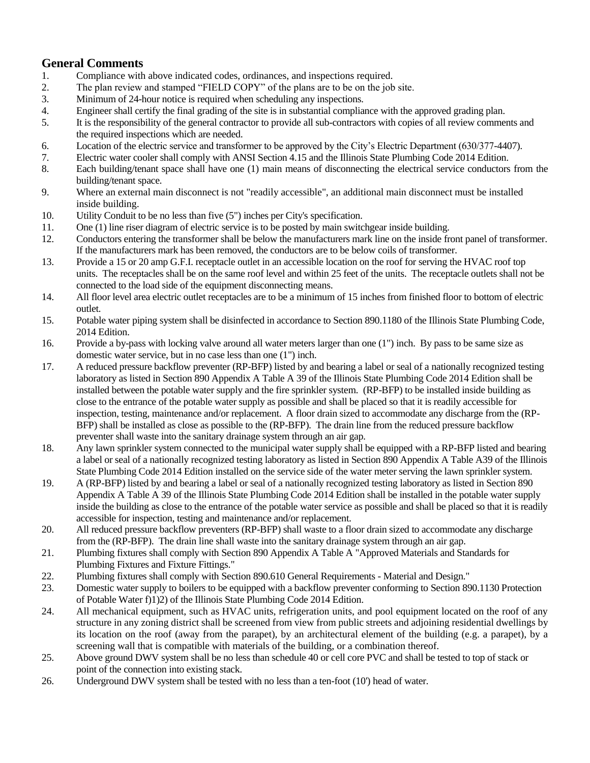# **General Comments**

- 1. Compliance with above indicated codes, ordinances, and inspections required.
- 2. The plan review and stamped "FIELD COPY" of the plans are to be on the job site.
- 3. Minimum of 24-hour notice is required when scheduling any inspections.
- 4. Engineer shall certify the final grading of the site is in substantial compliance with the approved grading plan.
- 5. It is the responsibility of the general contractor to provide all sub-contractors with copies of all review comments and the required inspections which are needed.
- 6. Location of the electric service and transformer to be approved by the City's Electric Department (630/377-4407).
- 7. Electric water cooler shall comply with ANSI Section 4.15 and the Illinois State Plumbing Code 2014 Edition.
- 8. Each building/tenant space shall have one (1) main means of disconnecting the electrical service conductors from the building/tenant space.
- 9. Where an external main disconnect is not "readily accessible", an additional main disconnect must be installed inside building.
- 10. Utility Conduit to be no less than five (5") inches per City's specification.
- 11. One (1) line riser diagram of electric service is to be posted by main switchgear inside building.
- 12. Conductors entering the transformer shall be below the manufacturers mark line on the inside front panel of transformer. If the manufacturers mark has been removed, the conductors are to be below coils of transformer.
- 13. Provide a 15 or 20 amp G.F.I. receptacle outlet in an accessible location on the roof for serving the HVAC roof top units. The receptacles shall be on the same roof level and within 25 feet of the units. The receptacle outlets shall not be connected to the load side of the equipment disconnecting means.
- 14. All floor level area electric outlet receptacles are to be a minimum of 15 inches from finished floor to bottom of electric outlet.
- 15. Potable water piping system shall be disinfected in accordance to Section 890.1180 of the Illinois State Plumbing Code, 2014 Edition.
- 16. Provide a by-pass with locking valve around all water meters larger than one (1") inch. By pass to be same size as domestic water service, but in no case less than one (1") inch.
- 17. A reduced pressure backflow preventer (RP-BFP) listed by and bearing a label or seal of a nationally recognized testing laboratory as listed in Section 890 Appendix A Table A 39 of the Illinois State Plumbing Code 2014 Edition shall be installed between the potable water supply and the fire sprinkler system. (RP-BFP) to be installed inside building as close to the entrance of the potable water supply as possible and shall be placed so that it is readily accessible for inspection, testing, maintenance and/or replacement. A floor drain sized to accommodate any discharge from the (RP-BFP) shall be installed as close as possible to the (RP-BFP). The drain line from the reduced pressure backflow preventer shall waste into the sanitary drainage system through an air gap.
- 18. Any lawn sprinkler system connected to the municipal water supply shall be equipped with a RP-BFP listed and bearing a label or seal of a nationally recognized testing laboratory as listed in Section 890 Appendix A Table A39 of the Illinois State Plumbing Code 2014 Edition installed on the service side of the water meter serving the lawn sprinkler system.
- 19. A (RP-BFP) listed by and bearing a label or seal of a nationally recognized testing laboratory as listed in Section 890 Appendix A Table A 39 of the Illinois State Plumbing Code 2014 Edition shall be installed in the potable water supply inside the building as close to the entrance of the potable water service as possible and shall be placed so that it is readily accessible for inspection, testing and maintenance and/or replacement.
- 20. All reduced pressure backflow preventers (RP-BFP) shall waste to a floor drain sized to accommodate any discharge from the (RP-BFP). The drain line shall waste into the sanitary drainage system through an air gap.
- 21. Plumbing fixtures shall comply with Section 890 Appendix A Table A "Approved Materials and Standards for Plumbing Fixtures and Fixture Fittings."
- 22. Plumbing fixtures shall comply with Section 890.610 General Requirements Material and Design."
- 23. Domestic water supply to boilers to be equipped with a backflow preventer conforming to Section 890.1130 Protection of Potable Water f)1)2) of the Illinois State Plumbing Code 2014 Edition.
- 24. All mechanical equipment, such as HVAC units, refrigeration units, and pool equipment located on the roof of any structure in any zoning district shall be screened from view from public streets and adjoining residential dwellings by its location on the roof (away from the parapet), by an architectural element of the building (e.g. a parapet), by a screening wall that is compatible with materials of the building, or a combination thereof.
- 25. Above ground DWV system shall be no less than schedule 40 or cell core PVC and shall be tested to top of stack or point of the connection into existing stack.
- 26. Underground DWV system shall be tested with no less than a ten-foot (10') head of water.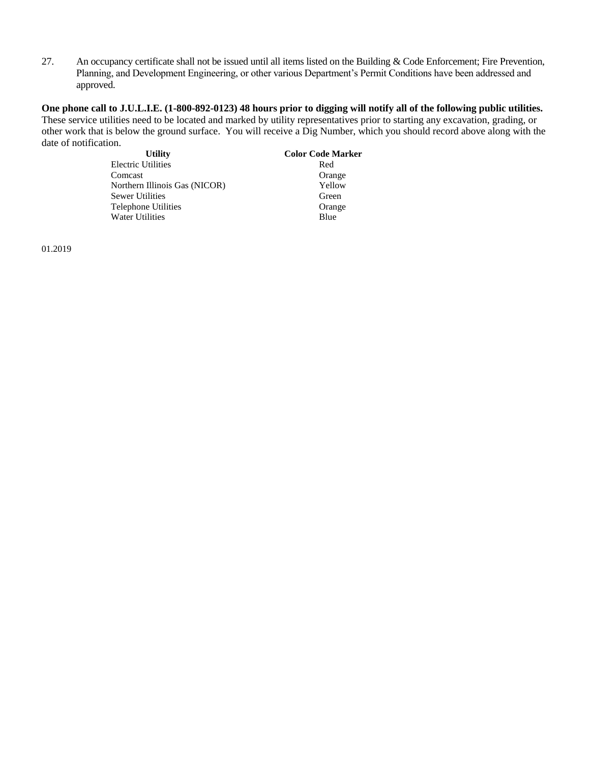27. An occupancy certificate shall not be issued until all items listed on the Building  $& Code Enforcement; Fire Prevention,$ Planning, and Development Engineering, or other various Department's Permit Conditions have been addressed and approved.

**One phone call to J.U.L.I.E. (1-800-892-0123) 48 hours prior to digging will notify all of the following public utilities.** These service utilities need to be located and marked by utility representatives prior to starting any excavation, grading, or other work that is below the ground surface. You will receive a Dig Number, which you should record above along with the date of notification.

| <b>Utility</b>                | <b>Color Code Marker</b> |
|-------------------------------|--------------------------|
| <b>Electric Utilities</b>     | Red                      |
| Comcast                       | Orange                   |
| Northern Illinois Gas (NICOR) | Yellow                   |
| Sewer Utilities               | Green                    |
| Telephone Utilities           | Orange                   |
| <b>Water Utilities</b>        | Blue                     |
|                               |                          |

01.2019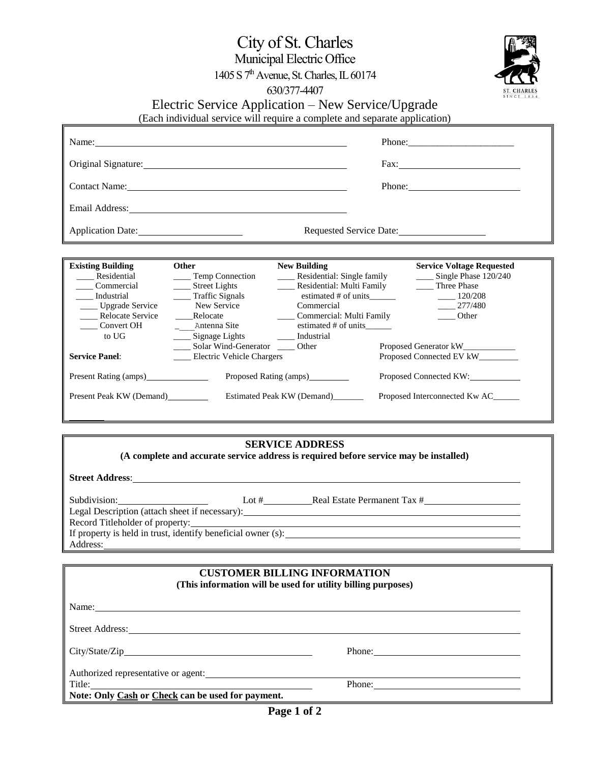# City of St. Charles

Municipal Electric Office 1405 S  $7<sup>th</sup>$  Avenue, St. Charles, IL 60174

630/377-4407



Electric Service Application – New Service/Upgrade (Each individual service will require a complete and separate application)

|                                                                                                                                                                                                                                                                   | Lach marriagar service will require a complete and separate application)                                                                                                                                                       |                                                                                                                                                                                                           |                                                                                                                                                                                                            |
|-------------------------------------------------------------------------------------------------------------------------------------------------------------------------------------------------------------------------------------------------------------------|--------------------------------------------------------------------------------------------------------------------------------------------------------------------------------------------------------------------------------|-----------------------------------------------------------------------------------------------------------------------------------------------------------------------------------------------------------|------------------------------------------------------------------------------------------------------------------------------------------------------------------------------------------------------------|
|                                                                                                                                                                                                                                                                   | Name:                                                                                                                                                                                                                          |                                                                                                                                                                                                           |                                                                                                                                                                                                            |
|                                                                                                                                                                                                                                                                   |                                                                                                                                                                                                                                |                                                                                                                                                                                                           |                                                                                                                                                                                                            |
|                                                                                                                                                                                                                                                                   |                                                                                                                                                                                                                                |                                                                                                                                                                                                           |                                                                                                                                                                                                            |
|                                                                                                                                                                                                                                                                   | Email Address: No. 1996. The Contract of the Contract of the Contract of the Contract of the Contract of the Contract of the Contract of the Contract of the Contract of the Contract of the Contract of the Contract of the C |                                                                                                                                                                                                           |                                                                                                                                                                                                            |
|                                                                                                                                                                                                                                                                   |                                                                                                                                                                                                                                |                                                                                                                                                                                                           | Requested Service Date:                                                                                                                                                                                    |
|                                                                                                                                                                                                                                                                   |                                                                                                                                                                                                                                |                                                                                                                                                                                                           |                                                                                                                                                                                                            |
| <b>Existing Building</b><br>____ Residential<br>_____ Commercial<br>___ Industrial<br>Upgrade Service<br>Relocate Service<br><b>Convert OH</b><br>to UG<br><b>Service Panel:</b>                                                                                  | Other<br>___ Temp Connection<br>___ Street Lights<br>___ Traffic Signals<br>New Service<br>Relocate<br>__ Signage Lights<br>_____ Solar Wind-Generator _____ Other<br>Electric Vehicle Chargers                                | <b>New Building</b><br>___ Residential: Single family<br>Residential: Multi Family<br>estimated # of units______<br>Commercial<br>___ Commercial: Multi Family<br>estimated # of units<br>____ Industrial | <b>Service Voltage Requested</b><br>Single Phase 120/240<br>____ Three Phase<br>$\frac{120}{208}$<br>$-277/480$<br><b>Other</b><br>Proposed Generator kW_____________<br>Proposed Connected EV kW_________ |
|                                                                                                                                                                                                                                                                   |                                                                                                                                                                                                                                | Proposed Rating (amps)__________                                                                                                                                                                          | Proposed Connected KW:                                                                                                                                                                                     |
| Proposed Interconnected Kw AC_____<br>Present Peak KW (Demand)<br>Estimated Peak KW (Demand)______                                                                                                                                                                |                                                                                                                                                                                                                                |                                                                                                                                                                                                           |                                                                                                                                                                                                            |
|                                                                                                                                                                                                                                                                   |                                                                                                                                                                                                                                | <b>SERVICE ADDRESS</b>                                                                                                                                                                                    |                                                                                                                                                                                                            |
|                                                                                                                                                                                                                                                                   |                                                                                                                                                                                                                                | (A complete and accurate service address is required before service may be installed)                                                                                                                     |                                                                                                                                                                                                            |
|                                                                                                                                                                                                                                                                   |                                                                                                                                                                                                                                |                                                                                                                                                                                                           |                                                                                                                                                                                                            |
| Lot # Real Estate Permanent Tax # Real Estate Permanent Tax # Real Estate Permanent Tax # Real Estate Permanent Tax # Real Estate Permanent Tax # Real Estate Permanent Tax # Real Estate Permanent Tax # Real Estate Permanen<br>Record Titleholder of property: |                                                                                                                                                                                                                                |                                                                                                                                                                                                           |                                                                                                                                                                                                            |
|                                                                                                                                                                                                                                                                   |                                                                                                                                                                                                                                |                                                                                                                                                                                                           |                                                                                                                                                                                                            |
|                                                                                                                                                                                                                                                                   |                                                                                                                                                                                                                                | <b>CUSTOMER BILLING INFORMATION</b><br>(This information will be used for utility billing purposes)                                                                                                       |                                                                                                                                                                                                            |
|                                                                                                                                                                                                                                                                   | Name:                                                                                                                                                                                                                          |                                                                                                                                                                                                           |                                                                                                                                                                                                            |
| <b>Street Address:</b>                                                                                                                                                                                                                                            |                                                                                                                                                                                                                                | <u> 1989 - Johann Stoff, deutscher Stoffen und der Stoffen und der Stoffen und der Stoffen und der Stoffen und der</u>                                                                                    |                                                                                                                                                                                                            |
|                                                                                                                                                                                                                                                                   |                                                                                                                                                                                                                                |                                                                                                                                                                                                           | Phone:                                                                                                                                                                                                     |
| Authorized representative or agent:                                                                                                                                                                                                                               |                                                                                                                                                                                                                                |                                                                                                                                                                                                           |                                                                                                                                                                                                            |

Title: Phone:

**Note: Only Cash or Check can be used for payment.**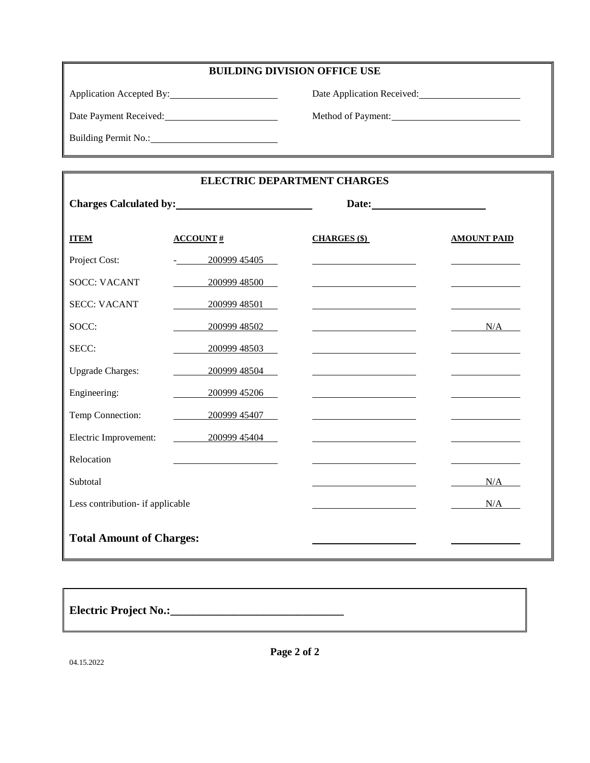### **BUILDING DIVISION OFFICE USE**

Application Accepted By: Date Application Received:

Date Payment Received: Method of Payment: Method of Payment:

Building Permit No.: 1999

| ELECTRIC DEPARTMENT CHARGES      |                                         |                                                                                           |                    |
|----------------------------------|-----------------------------------------|-------------------------------------------------------------------------------------------|--------------------|
|                                  |                                         |                                                                                           |                    |
| <b>ITEM</b>                      | <b>ACCOUNT#</b>                         | <b>CHARGES</b> (\$)                                                                       | <b>AMOUNT PAID</b> |
| Project Cost:                    | $-20099945405$                          |                                                                                           |                    |
| <b>SOCC: VACANT</b>              | 200999 48500                            |                                                                                           |                    |
| <b>SECC: VACANT</b>              | 200999 48501                            |                                                                                           |                    |
| SOCC:                            | 200999 48502                            | the contract of the contract of the contract of the contract of the contract of           | N/A                |
| SECC:                            | 200999 48503                            | the control of the control of the control of the control of the control of the control of |                    |
| <b>Upgrade Charges:</b>          | 200999 48504                            | <u> 1989 - Johann Barbara, martin a</u>                                                   |                    |
| Engineering:                     | 200999 45206                            | <u> 1980 - Johann Barbara, martin amerikan ba</u>                                         |                    |
| Temp Connection:                 | 20099945407                             |                                                                                           |                    |
| Electric Improvement:            | 200999 45404                            |                                                                                           |                    |
| Relocation                       | <u> 1989 - Johann Barbara, martin a</u> | the control of the control of the control of the control of the control of                |                    |
| Subtotal                         |                                         |                                                                                           | N/A                |
| Less contribution- if applicable |                                         |                                                                                           | N/A                |
| <b>Total Amount of Charges:</b>  |                                         |                                                                                           |                    |

**Electric Project No.:\_\_\_\_\_\_\_\_\_\_\_\_\_\_\_\_\_\_\_\_\_\_\_\_\_\_\_\_\_\_**

04.15.2022

**Page 2 of 2**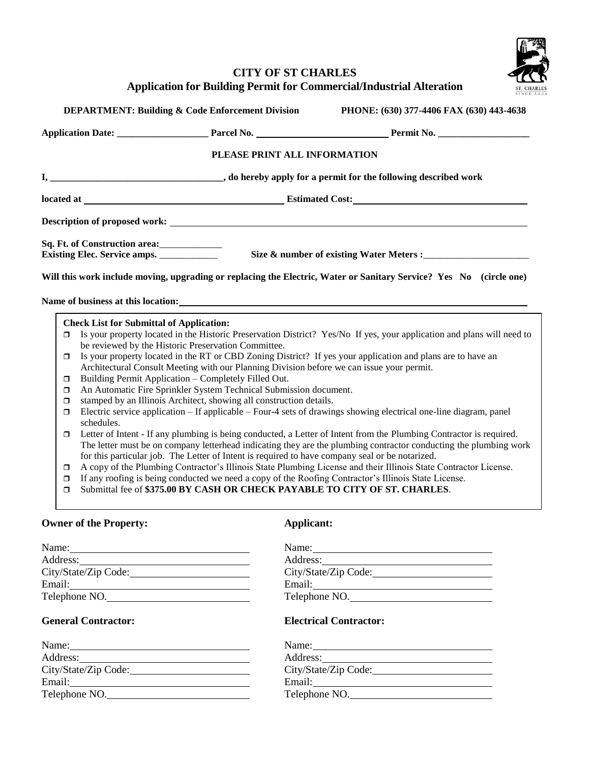

## **CITY OF ST CHARLES Application for Building Permit for Commercial/Industrial Alteration**

|                                                                                                                                                                                                                                      | <b>DEPARTMENT: Building &amp; Code Enforcement Division</b>                                                                                                                  |                                                                                                                                                                                                                                                                                                                                                                                                                        | PHONE: (630) 377-4406 FAX (630) 443-4638                                                                                                                                                                                                                                                                                                                                                                                                                                                                                                                                                                                                                                                                                                                                                                                           |
|--------------------------------------------------------------------------------------------------------------------------------------------------------------------------------------------------------------------------------------|------------------------------------------------------------------------------------------------------------------------------------------------------------------------------|------------------------------------------------------------------------------------------------------------------------------------------------------------------------------------------------------------------------------------------------------------------------------------------------------------------------------------------------------------------------------------------------------------------------|------------------------------------------------------------------------------------------------------------------------------------------------------------------------------------------------------------------------------------------------------------------------------------------------------------------------------------------------------------------------------------------------------------------------------------------------------------------------------------------------------------------------------------------------------------------------------------------------------------------------------------------------------------------------------------------------------------------------------------------------------------------------------------------------------------------------------------|
|                                                                                                                                                                                                                                      |                                                                                                                                                                              |                                                                                                                                                                                                                                                                                                                                                                                                                        |                                                                                                                                                                                                                                                                                                                                                                                                                                                                                                                                                                                                                                                                                                                                                                                                                                    |
|                                                                                                                                                                                                                                      |                                                                                                                                                                              | PLEASE PRINT ALL INFORMATION                                                                                                                                                                                                                                                                                                                                                                                           |                                                                                                                                                                                                                                                                                                                                                                                                                                                                                                                                                                                                                                                                                                                                                                                                                                    |
|                                                                                                                                                                                                                                      |                                                                                                                                                                              |                                                                                                                                                                                                                                                                                                                                                                                                                        |                                                                                                                                                                                                                                                                                                                                                                                                                                                                                                                                                                                                                                                                                                                                                                                                                                    |
|                                                                                                                                                                                                                                      | <b>I</b> Docated at <u>Estimated Cost:</u>                                                                                                                                   |                                                                                                                                                                                                                                                                                                                                                                                                                        |                                                                                                                                                                                                                                                                                                                                                                                                                                                                                                                                                                                                                                                                                                                                                                                                                                    |
|                                                                                                                                                                                                                                      |                                                                                                                                                                              |                                                                                                                                                                                                                                                                                                                                                                                                                        |                                                                                                                                                                                                                                                                                                                                                                                                                                                                                                                                                                                                                                                                                                                                                                                                                                    |
|                                                                                                                                                                                                                                      | Sq. Ft. of Construction area: ______________<br>Existing Elec. Service amps. ____________                                                                                    |                                                                                                                                                                                                                                                                                                                                                                                                                        |                                                                                                                                                                                                                                                                                                                                                                                                                                                                                                                                                                                                                                                                                                                                                                                                                                    |
|                                                                                                                                                                                                                                      |                                                                                                                                                                              | Name of business at this location: Manual Community of the set of the set of the set of the set of the set of the set of the set of the set of the set of the set of the set of the set of the set of the set of the set of th                                                                                                                                                                                         | Will this work include moving, upgrading or replacing the Electric, Water or Sanitary Service? Yes No (circle one)                                                                                                                                                                                                                                                                                                                                                                                                                                                                                                                                                                                                                                                                                                                 |
| $\Box$<br>0<br>$\Box$<br>$\Box$<br>$\Box$<br>$\Box$<br>$\Box$<br>$\Box$<br>$\Box$<br>$\Box$                                                                                                                                          | <b>Check List for Submittal of Application:</b><br>be reviewed by the Historic Preservation Committee.<br>Building Permit Application - Completely Filled Out.<br>schedules. | Architectural Consult Meeting with our Planning Division before we can issue your permit.<br>An Automatic Fire Sprinkler System Technical Submission document.<br>stamped by an Illinois Architect, showing all construction details.<br>for this particular job. The Letter of Intent is required to have company seal or be notarized.<br>Submittal fee of \$375.00 BY CASH OR CHECK PAYABLE TO CITY OF ST. CHARLES. | Is your property located in the Historic Preservation District? Yes/No If yes, your application and plans will need to<br>Is your property located in the RT or CBD Zoning District? If yes your application and plans are to have an<br>Electric service application – If applicable – Four-4 sets of drawings showing electrical one-line diagram, panel<br>Letter of Intent - If any plumbing is being conducted, a Letter of Intent from the Plumbing Contractor is required.<br>The letter must be on company letterhead indicating they are the plumbing contractor conducting the plumbing work<br>A copy of the Plumbing Contractor's Illinois State Plumbing License and their Illinois State Contractor License.<br>If any roofing is being conducted we need a copy of the Roofing Contractor's Illinois State License. |
|                                                                                                                                                                                                                                      | <b>Owner of the Property:</b>                                                                                                                                                | Applicant:                                                                                                                                                                                                                                                                                                                                                                                                             |                                                                                                                                                                                                                                                                                                                                                                                                                                                                                                                                                                                                                                                                                                                                                                                                                                    |
|                                                                                                                                                                                                                                      | Name:                                                                                                                                                                        |                                                                                                                                                                                                                                                                                                                                                                                                                        | Name: Name and the service of the service of the service of the service of the service of the service of the service of the service of the service of the service of the service of the service of the service of the service                                                                                                                                                                                                                                                                                                                                                                                                                                                                                                                                                                                                      |
| Address: <u>and the same of the same of the same of the same of the same of the same of the same of the same of the same of the same of the same of the same of the same of the same of the same of the same of the same of the </u> |                                                                                                                                                                              |                                                                                                                                                                                                                                                                                                                                                                                                                        |                                                                                                                                                                                                                                                                                                                                                                                                                                                                                                                                                                                                                                                                                                                                                                                                                                    |
| City/State/Zip Code:<br>Email:<br>Telephone NO.<br>Email:<br>Telephone NO.                                                                                                                                                           |                                                                                                                                                                              |                                                                                                                                                                                                                                                                                                                                                                                                                        |                                                                                                                                                                                                                                                                                                                                                                                                                                                                                                                                                                                                                                                                                                                                                                                                                                    |
|                                                                                                                                                                                                                                      |                                                                                                                                                                              |                                                                                                                                                                                                                                                                                                                                                                                                                        |                                                                                                                                                                                                                                                                                                                                                                                                                                                                                                                                                                                                                                                                                                                                                                                                                                    |
|                                                                                                                                                                                                                                      |                                                                                                                                                                              |                                                                                                                                                                                                                                                                                                                                                                                                                        |                                                                                                                                                                                                                                                                                                                                                                                                                                                                                                                                                                                                                                                                                                                                                                                                                                    |
|                                                                                                                                                                                                                                      | <b>General Contractor:</b>                                                                                                                                                   |                                                                                                                                                                                                                                                                                                                                                                                                                        | <b>Electrical Contractor:</b>                                                                                                                                                                                                                                                                                                                                                                                                                                                                                                                                                                                                                                                                                                                                                                                                      |
|                                                                                                                                                                                                                                      |                                                                                                                                                                              |                                                                                                                                                                                                                                                                                                                                                                                                                        | Name:                                                                                                                                                                                                                                                                                                                                                                                                                                                                                                                                                                                                                                                                                                                                                                                                                              |
|                                                                                                                                                                                                                                      | Name:                                                                                                                                                                        |                                                                                                                                                                                                                                                                                                                                                                                                                        |                                                                                                                                                                                                                                                                                                                                                                                                                                                                                                                                                                                                                                                                                                                                                                                                                                    |

| Name:                | Name:                |
|----------------------|----------------------|
| Address:             | Address:             |
| City/State/Zip Code: | City/State/Zip Code: |
| Email:               | Email:               |
| Telephone NO.        | Telephone NO.        |